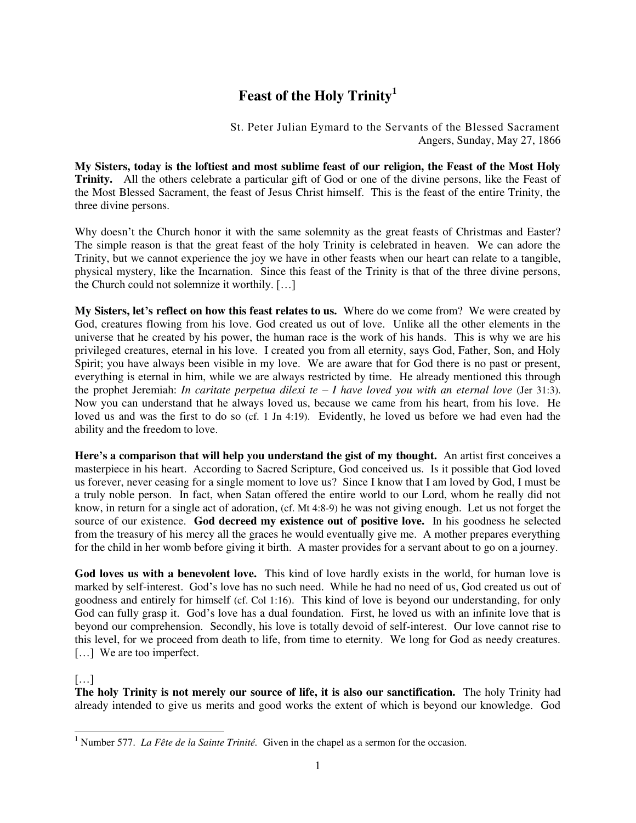## **Feast of the Holy Trinity<sup>1</sup>**

St. Peter Julian Eymard to the Servants of the Blessed Sacrament Angers, Sunday, May 27, 1866

**My Sisters, today is the loftiest and most sublime feast of our religion, the Feast of the Most Holy Trinity.** All the others celebrate a particular gift of God or one of the divine persons, like the Feast of the Most Blessed Sacrament, the feast of Jesus Christ himself. This is the feast of the entire Trinity, the three divine persons.

Why doesn't the Church honor it with the same solemnity as the great feasts of Christmas and Easter? The simple reason is that the great feast of the holy Trinity is celebrated in heaven. We can adore the Trinity, but we cannot experience the joy we have in other feasts when our heart can relate to a tangible, physical mystery, like the Incarnation. Since this feast of the Trinity is that of the three divine persons, the Church could not solemnize it worthily. […]

**My Sisters, let's reflect on how this feast relates to us.** Where do we come from? We were created by God, creatures flowing from his love. God created us out of love. Unlike all the other elements in the universe that he created by his power, the human race is the work of his hands. This is why we are his privileged creatures, eternal in his love. I created you from all eternity, says God, Father, Son, and Holy Spirit; you have always been visible in my love. We are aware that for God there is no past or present, everything is eternal in him, while we are always restricted by time. He already mentioned this through the prophet Jeremiah: *In caritate perpetua dilexi te – I have loved you with an eternal love* (Jer 31:3). Now you can understand that he always loved us, because we came from his heart, from his love. He loved us and was the first to do so (cf. 1 Jn 4:19). Evidently, he loved us before we had even had the ability and the freedom to love.

**Here's a comparison that will help you understand the gist of my thought.** An artist first conceives a masterpiece in his heart. According to Sacred Scripture, God conceived us. Is it possible that God loved us forever, never ceasing for a single moment to love us? Since I know that I am loved by God, I must be a truly noble person. In fact, when Satan offered the entire world to our Lord, whom he really did not know, in return for a single act of adoration, (cf. Mt 4:8-9) he was not giving enough. Let us not forget the source of our existence. **God decreed my existence out of positive love.** In his goodness he selected from the treasury of his mercy all the graces he would eventually give me. A mother prepares everything for the child in her womb before giving it birth. A master provides for a servant about to go on a journey.

God loves us with a benevolent love. This kind of love hardly exists in the world, for human love is marked by self-interest. God's love has no such need. While he had no need of us, God created us out of goodness and entirely for himself (cf. Col 1:16). This kind of love is beyond our understanding, for only God can fully grasp it. God's love has a dual foundation. First, he loved us with an infinite love that is beyond our comprehension. Secondly, his love is totally devoid of self-interest. Our love cannot rise to this level, for we proceed from death to life, from time to eternity. We long for God as needy creatures. [...] We are too imperfect.

## $[\dots]$

**The holy Trinity is not merely our source of life, it is also our sanctification.** The holy Trinity had already intended to give us merits and good works the extent of which is beyond our knowledge. God

 1 Number 577. *La Fête de la Sainte Trinité.* Given in the chapel as a sermon for the occasion.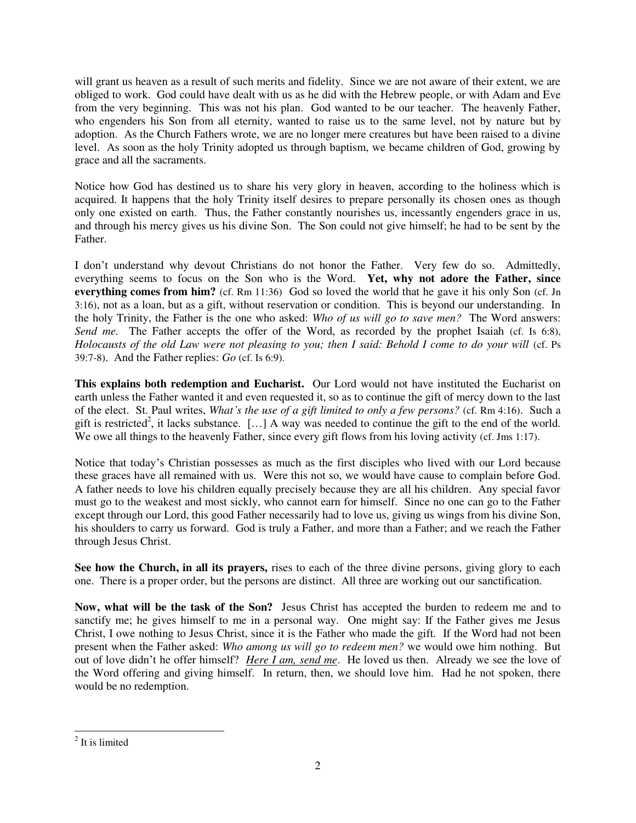will grant us heaven as a result of such merits and fidelity. Since we are not aware of their extent, we are obliged to work. God could have dealt with us as he did with the Hebrew people, or with Adam and Eve from the very beginning. This was not his plan. God wanted to be our teacher. The heavenly Father, who engenders his Son from all eternity, wanted to raise us to the same level, not by nature but by adoption. As the Church Fathers wrote, we are no longer mere creatures but have been raised to a divine level. As soon as the holy Trinity adopted us through baptism, we became children of God, growing by grace and all the sacraments.

Notice how God has destined us to share his very glory in heaven, according to the holiness which is acquired. It happens that the holy Trinity itself desires to prepare personally its chosen ones as though only one existed on earth. Thus, the Father constantly nourishes us, incessantly engenders grace in us, and through his mercy gives us his divine Son. The Son could not give himself; he had to be sent by the Father.

I don't understand why devout Christians do not honor the Father. Very few do so. Admittedly, everything seems to focus on the Son who is the Word. **Yet, why not adore the Father, since everything comes from him?** (cf. Rm 11:36) God so loved the world that he gave it his only Son (cf. Jn 3:16), not as a loan, but as a gift, without reservation or condition. This is beyond our understanding. In the holy Trinity, the Father is the one who asked: *Who of us will go to save men?* The Word answers: Send me. The Father accepts the offer of the Word, as recorded by the prophet Isaiah (cf. Is 6:8), *Holocausts of the old Law were not pleasing to you; then I said: Behold I come to do your will* (cf. Ps 39:7-8). And the Father replies: *Go* (cf. Is 6:9).

**This explains both redemption and Eucharist.** Our Lord would not have instituted the Eucharist on earth unless the Father wanted it and even requested it, so as to continue the gift of mercy down to the last of the elect. St. Paul writes, *What's the use of a gift limited to only a few persons?* (cf. Rm 4:16). Such a gift is restricted<sup>2</sup>, it lacks substance. [...] A way was needed to continue the gift to the end of the world. We owe all things to the heavenly Father, since every gift flows from his loving activity (cf. Jms 1:17).

Notice that today's Christian possesses as much as the first disciples who lived with our Lord because these graces have all remained with us. Were this not so, we would have cause to complain before God. A father needs to love his children equally precisely because they are all his children. Any special favor must go to the weakest and most sickly, who cannot earn for himself. Since no one can go to the Father except through our Lord, this good Father necessarily had to love us, giving us wings from his divine Son, his shoulders to carry us forward. God is truly a Father, and more than a Father; and we reach the Father through Jesus Christ.

**See how the Church, in all its prayers,** rises to each of the three divine persons, giving glory to each one. There is a proper order, but the persons are distinct. All three are working out our sanctification.

**Now, what will be the task of the Son?** Jesus Christ has accepted the burden to redeem me and to sanctify me; he gives himself to me in a personal way. One might say: If the Father gives me Jesus Christ, I owe nothing to Jesus Christ, since it is the Father who made the gift. If the Word had not been present when the Father asked: *Who among us will go to redeem men?* we would owe him nothing. But out of love didn't he offer himself? *Here I am, send me*. He loved us then. Already we see the love of the Word offering and giving himself. In return, then, we should love him. Had he not spoken, there would be no redemption.

 $\overline{a}$ <sup>2</sup> It is limited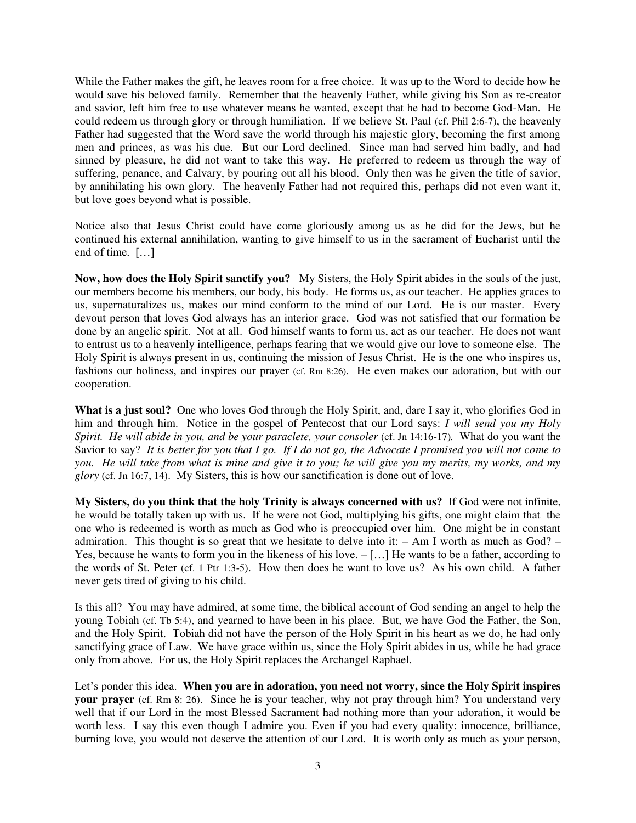While the Father makes the gift, he leaves room for a free choice. It was up to the Word to decide how he would save his beloved family. Remember that the heavenly Father, while giving his Son as re-creator and savior, left him free to use whatever means he wanted, except that he had to become God-Man. He could redeem us through glory or through humiliation. If we believe St. Paul (cf. Phil 2:6-7), the heavenly Father had suggested that the Word save the world through his majestic glory, becoming the first among men and princes, as was his due. But our Lord declined. Since man had served him badly, and had sinned by pleasure, he did not want to take this way. He preferred to redeem us through the way of suffering, penance, and Calvary, by pouring out all his blood. Only then was he given the title of savior, by annihilating his own glory. The heavenly Father had not required this, perhaps did not even want it, but love goes beyond what is possible.

Notice also that Jesus Christ could have come gloriously among us as he did for the Jews, but he continued his external annihilation, wanting to give himself to us in the sacrament of Eucharist until the end of time. […]

**Now, how does the Holy Spirit sanctify you?** My Sisters, the Holy Spirit abides in the souls of the just, our members become his members, our body, his body. He forms us, as our teacher. He applies graces to us, supernaturalizes us, makes our mind conform to the mind of our Lord. He is our master. Every devout person that loves God always has an interior grace. God was not satisfied that our formation be done by an angelic spirit. Not at all. God himself wants to form us, act as our teacher. He does not want to entrust us to a heavenly intelligence, perhaps fearing that we would give our love to someone else. The Holy Spirit is always present in us, continuing the mission of Jesus Christ. He is the one who inspires us, fashions our holiness, and inspires our prayer (cf. Rm 8:26). He even makes our adoration, but with our cooperation.

**What is a just soul?** One who loves God through the Holy Spirit, and, dare I say it, who glorifies God in him and through him. Notice in the gospel of Pentecost that our Lord says: *I will send you my Holy Spirit. He will abide in you, and be your paraclete, your consoler (cf. Jn 14:16-17). What do you want the* Savior to say? *It is better for you that I go. If I do not go, the Advocate I promised you will not come to you. He will take from what is mine and give it to you; he will give you my merits, my works, and my glory* (cf. Jn 16:7, 14). My Sisters, this is how our sanctification is done out of love.

**My Sisters, do you think that the holy Trinity is always concerned with us?** If God were not infinite, he would be totally taken up with us. If he were not God, multiplying his gifts, one might claim that the one who is redeemed is worth as much as God who is preoccupied over him. One might be in constant admiration. This thought is so great that we hesitate to delve into it:  $- Am I$  worth as much as  $God? -$ Yes, because he wants to form you in the likeness of his love. – […] He wants to be a father, according to the words of St. Peter (cf. 1 Ptr 1:3-5). How then does he want to love us? As his own child. A father never gets tired of giving to his child.

Is this all? You may have admired, at some time, the biblical account of God sending an angel to help the young Tobiah (cf. Tb 5:4), and yearned to have been in his place. But, we have God the Father, the Son, and the Holy Spirit. Tobiah did not have the person of the Holy Spirit in his heart as we do, he had only sanctifying grace of Law. We have grace within us, since the Holy Spirit abides in us, while he had grace only from above. For us, the Holy Spirit replaces the Archangel Raphael.

Let's ponder this idea. **When you are in adoration, you need not worry, since the Holy Spirit inspires your prayer** (cf. Rm 8: 26). Since he is your teacher, why not pray through him? You understand very well that if our Lord in the most Blessed Sacrament had nothing more than your adoration, it would be worth less. I say this even though I admire you. Even if you had every quality: innocence, brilliance, burning love, you would not deserve the attention of our Lord. It is worth only as much as your person,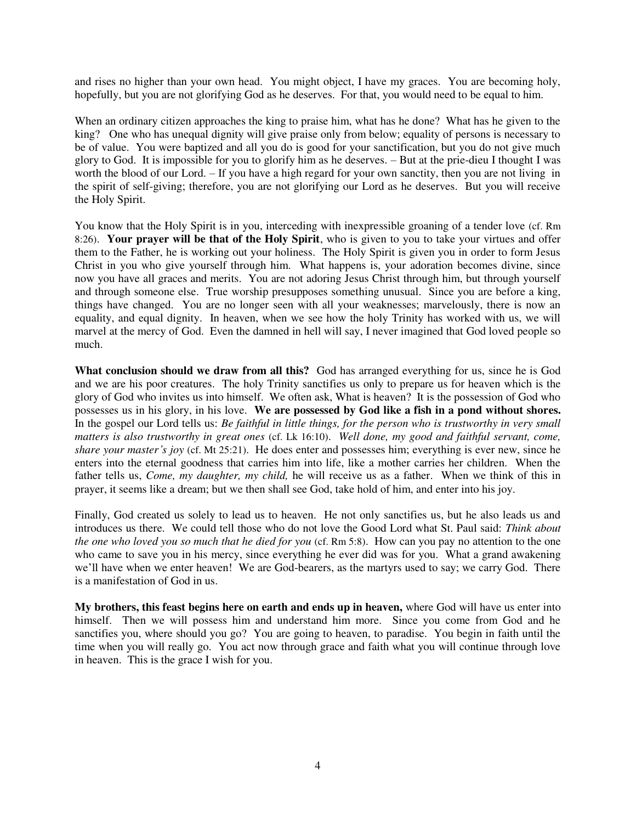and rises no higher than your own head. You might object, I have my graces. You are becoming holy, hopefully, but you are not glorifying God as he deserves. For that, you would need to be equal to him.

When an ordinary citizen approaches the king to praise him, what has he done? What has he given to the king? One who has unequal dignity will give praise only from below; equality of persons is necessary to be of value. You were baptized and all you do is good for your sanctification, but you do not give much glory to God. It is impossible for you to glorify him as he deserves. – But at the prie-dieu I thought I was worth the blood of our Lord. – If you have a high regard for your own sanctity, then you are not living in the spirit of self-giving; therefore, you are not glorifying our Lord as he deserves. But you will receive the Holy Spirit.

You know that the Holy Spirit is in you, interceding with inexpressible groaning of a tender love (cf. Rm 8:26). **Your prayer will be that of the Holy Spirit**, who is given to you to take your virtues and offer them to the Father, he is working out your holiness. The Holy Spirit is given you in order to form Jesus Christ in you who give yourself through him. What happens is, your adoration becomes divine, since now you have all graces and merits. You are not adoring Jesus Christ through him, but through yourself and through someone else. True worship presupposes something unusual. Since you are before a king, things have changed. You are no longer seen with all your weaknesses; marvelously, there is now an equality, and equal dignity. In heaven, when we see how the holy Trinity has worked with us, we will marvel at the mercy of God. Even the damned in hell will say, I never imagined that God loved people so much.

**What conclusion should we draw from all this?** God has arranged everything for us, since he is God and we are his poor creatures. The holy Trinity sanctifies us only to prepare us for heaven which is the glory of God who invites us into himself. We often ask, What is heaven? It is the possession of God who possesses us in his glory, in his love. **We are possessed by God like a fish in a pond without shores.**  In the gospel our Lord tells us: *Be faithful in little things, for the person who is trustworthy in very small matters is also trustworthy in great ones* (cf. Lk 16:10). *Well done, my good and faithful servant, come, share your master's joy* (cf. Mt 25:21). He does enter and possesses him; everything is ever new, since he enters into the eternal goodness that carries him into life, like a mother carries her children. When the father tells us, *Come, my daughter, my child,* he will receive us as a father. When we think of this in prayer, it seems like a dream; but we then shall see God, take hold of him, and enter into his joy.

Finally, God created us solely to lead us to heaven. He not only sanctifies us, but he also leads us and introduces us there. We could tell those who do not love the Good Lord what St. Paul said: *Think about the one who loved you so much that he died for you* (cf. Rm 5:8). How can you pay no attention to the one who came to save you in his mercy, since everything he ever did was for you. What a grand awakening we'll have when we enter heaven! We are God-bearers, as the martyrs used to say; we carry God. There is a manifestation of God in us.

**My brothers, this feast begins here on earth and ends up in heaven,** where God will have us enter into himself. Then we will possess him and understand him more. Since you come from God and he sanctifies you, where should you go? You are going to heaven, to paradise. You begin in faith until the time when you will really go. You act now through grace and faith what you will continue through love in heaven. This is the grace I wish for you.